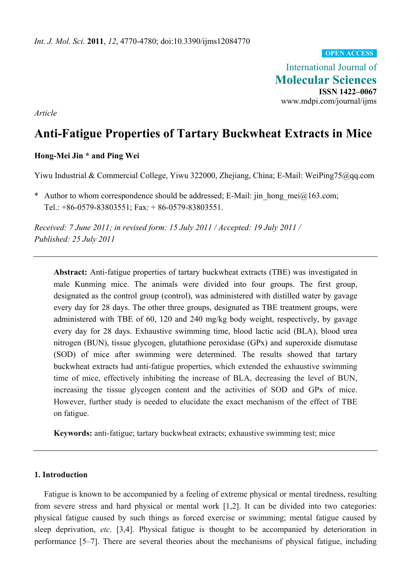**OPEN ACCESS**

International Journal of **Molecular Sciences ISSN 1422–0067**  www.mdpi.com/journal/ijms

*Article* 

# **Anti-Fatigue Properties of Tartary Buckwheat Extracts in Mice**

# **Hong-Mei Jin \* and Ping Wei**

Yiwu Industrial & Commercial College, Yiwu 322000, Zhejiang, China; E-Mail: WeiPing75@qq.com

\* Author to whom correspondence should be addressed; E-Mail: jin\_hong\_mei@163.com; Tel.: +86-0579-83803551; Fax: + 86-0579-83803551.

*Received: 7 June 2011; in revised form: 15 July 2011 / Accepted: 19 July 2011 / Published: 25 July 2011* 

**Abstract:** Anti-fatigue properties of tartary buckwheat extracts (TBE) was investigated in male Kunming mice. The animals were divided into four groups. The first group, designated as the control group (control), was administered with distilled water by gavage every day for 28 days. The other three groups, designated as TBE treatment groups, were administered with TBE of 60, 120 and 240 mg/kg body weight, respectively, by gavage every day for 28 days. Exhaustive swimming time, blood lactic acid (BLA), blood urea nitrogen (BUN), tissue glycogen, glutathione peroxidase (GPx) and superoxide dismutase (SOD) of mice after swimming were determined. The results showed that tartary buckwheat extracts had anti-fatigue properties, which extended the exhaustive swimming time of mice, effectively inhibiting the increase of BLA, decreasing the level of BUN, increasing the tissue glycogen content and the activities of SOD and GPx of mice. However, further study is needed to elucidate the exact mechanism of the effect of TBE on fatigue.

**Keywords:** anti-fatigue; tartary buckwheat extracts; exhaustive swimming test; mice

# **1. Introduction**

Fatigue is known to be accompanied by a feeling of extreme physical or mental tiredness, resulting from severe stress and hard physical or mental work [1,2]. It can be divided into two categories: physical fatigue caused by such things as forced exercise or swimming; mental fatigue caused by sleep deprivation, *etc*. [3,4]. Physical fatigue is thought to be accompanied by deterioration in performance [5–7]. There are several theories about the mechanisms of physical fatigue, including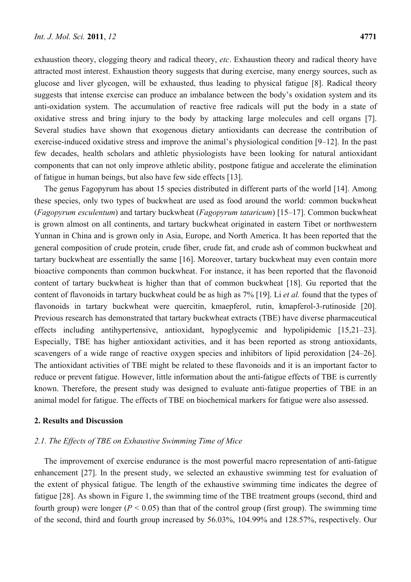exhaustion theory, clogging theory and radical theory, *etc*. Exhaustion theory and radical theory have attracted most interest. Exhaustion theory suggests that during exercise, many energy sources, such as glucose and liver glycogen, will be exhausted, thus leading to physical fatigue [8]. Radical theory suggests that intense exercise can produce an imbalance between the body's oxidation system and its anti-oxidation system. The accumulation of reactive free radicals will put the body in a state of oxidative stress and bring injury to the body by attacking large molecules and cell organs [7]. Several studies have shown that exogenous dietary antioxidants can decrease the contribution of exercise-induced oxidative stress and improve the animal's physiological condition [9–12]. In the past few decades, health scholars and athletic physiologists have been looking for natural antioxidant components that can not only improve athletic ability, postpone fatigue and accelerate the elimination of fatigue in human beings, but also have few side effects [13].

The genus Fagopyrum has about 15 species distributed in different parts of the world [14]. Among these species, only two types of buckwheat are used as food around the world: common buckwheat (*Fagopyrum esculentum*) and tartary buckwheat (*Fagopyrum tataricum*) [15–17]. Common buckwheat is grown almost on all continents, and tartary buckwheat originated in eastern Tibet or northwestern Yunnan in China and is grown only in Asia, Europe, and North America. It has been reported that the general composition of crude protein, crude fiber, crude fat, and crude ash of common buckwheat and tartary buckwheat are essentially the same [16]. Moreover, tartary buckwheat may even contain more bioactive components than common buckwheat. For instance, it has been reported that the flavonoid content of tartary buckwheat is higher than that of common buckwheat [18]. Gu reported that the content of flavonoids in tartary buckwheat could be as high as 7% [19]. Li *et al.* found that the types of flavonoids in tartary buckwheat were quercitin, kmaepferol, rutin, kmapferol-3-rutinoside [20]. Previous research has demonstrated that tartary buckwheat extracts (TBE) have diverse pharmaceutical effects including antihypertensive, antioxidant, hypoglycemic and hypolipidemic [15,21–23]. Especially, TBE has higher antioxidant activities, and it has been reported as strong antioxidants, scavengers of a wide range of reactive oxygen species and inhibitors of lipid peroxidation [24–26]. The antioxidant activities of TBE might be related to these flavonoids and it is an important factor to reduce or prevent fatigue. However, little information about the anti-fatigue effects of TBE is currently known. Therefore, the present study was designed to evaluate anti-fatigue properties of TBE in an animal model for fatigue. The effects of TBE on biochemical markers for fatigue were also assessed.

# **2. Results and Discussion**

#### *2.1. The Effects of TBE on Exhaustive Swimming Time of Mice*

The improvement of exercise endurance is the most powerful macro representation of anti-fatigue enhancement [27]. In the present study, we selected an exhaustive swimming test for evaluation of the extent of physical fatigue. The length of the exhaustive swimming time indicates the degree of fatigue [28]. As shown in Figure 1, the swimming time of the TBE treatment groups (second, third and fourth group) were longer ( $P < 0.05$ ) than that of the control group (first group). The swimming time of the second, third and fourth group increased by 56.03%, 104.99% and 128.57%, respectively. Our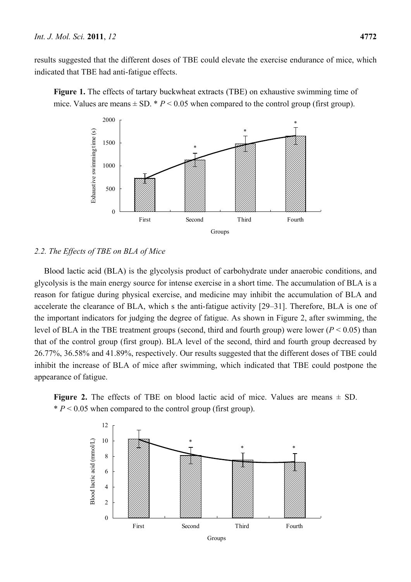results suggested that the different doses of TBE could elevate the exercise endurance of mice, which indicated that TBE had anti-fatigue effects.





# *2.2. The Effects of TBE on BLA of Mice*

Blood lactic acid (BLA) is the glycolysis product of carbohydrate under anaerobic conditions, and glycolysis is the main energy source for intense exercise in a short time. The accumulation of BLA is a reason for fatigue during physical exercise, and medicine may inhibit the accumulation of BLA and accelerate the clearance of BLA, which s the anti-fatigue activity [29–31]. Therefore, BLA is one of the important indicators for judging the degree of fatigue. As shown in Figure 2, after swimming, the level of BLA in the TBE treatment groups (second, third and fourth group) were lower (*P* < 0.05) than that of the control group (first group). BLA level of the second, third and fourth group decreased by 26.77%, 36.58% and 41.89%, respectively. Our results suggested that the different doses of TBE could inhibit the increase of BLA of mice after swimming, which indicated that TBE could postpone the appearance of fatigue.

**Figure 2.** The effects of TBE on blood lactic acid of mice. Values are means  $\pm$  SD.  $* P < 0.05$  when compared to the control group (first group).

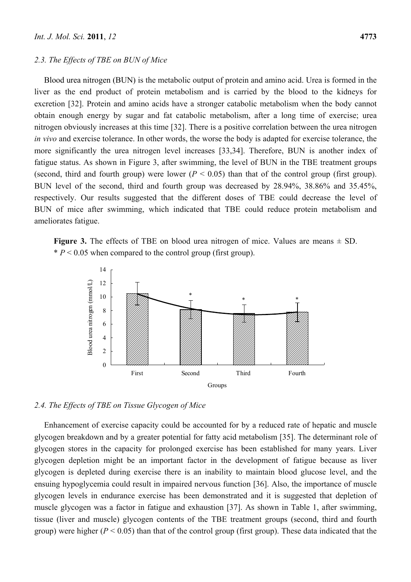#### *2.3. The Effects of TBE on BUN of Mice*

Blood urea nitrogen (BUN) is the metabolic output of protein and amino acid. Urea is formed in the liver as the end product of protein metabolism and is carried by the blood to the kidneys for excretion [32]. Protein and amino acids have a stronger catabolic metabolism when the body cannot obtain enough energy by sugar and fat catabolic metabolism, after a long time of exercise; urea nitrogen obviously increases at this time [32]. There is a positive correlation between the urea nitrogen *in vivo* and exercise tolerance. In other words, the worse the body is adapted for exercise tolerance, the more significantly the urea nitrogen level increases [33,34]. Therefore, BUN is another index of fatigue status. As shown in Figure 3, after swimming, the level of BUN in the TBE treatment groups (second, third and fourth group) were lower  $(P < 0.05)$  than that of the control group (first group). BUN level of the second, third and fourth group was decreased by 28.94%, 38.86% and 35.45%, respectively. Our results suggested that the different doses of TBE could decrease the level of BUN of mice after swimming, which indicated that TBE could reduce protein metabolism and ameliorates fatigue.

**Figure 3.** The effects of TBE on blood urea nitrogen of mice. Values are means  $\pm$  SD.  $* P < 0.05$  when compared to the control group (first group).



#### *2.4. The Effects of TBE on Tissue Glycogen of Mice*

Enhancement of exercise capacity could be accounted for by a reduced rate of hepatic and muscle glycogen breakdown and by a greater potential for fatty acid metabolism [35]. The determinant role of glycogen stores in the capacity for prolonged exercise has been established for many years. Liver glycogen depletion might be an important factor in the development of fatigue because as liver glycogen is depleted during exercise there is an inability to maintain blood glucose level, and the ensuing hypoglycemia could result in impaired nervous function [36]. Also, the importance of muscle glycogen levels in endurance exercise has been demonstrated and it is suggested that depletion of muscle glycogen was a factor in fatigue and exhaustion [37]. As shown in Table 1, after swimming, tissue (liver and muscle) glycogen contents of the TBE treatment groups (second, third and fourth group) were higher  $(P < 0.05)$  than that of the control group (first group). These data indicated that the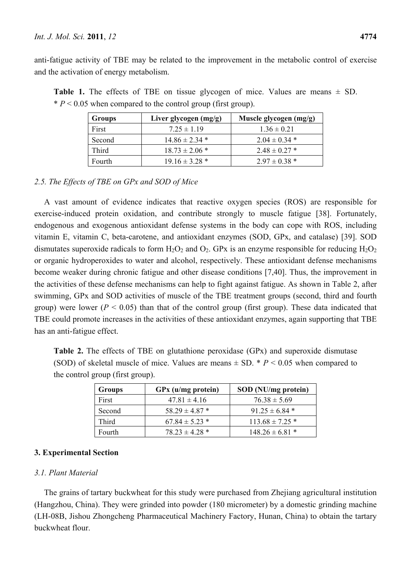anti-fatigue activity of TBE may be related to the improvement in the metabolic control of exercise and the activation of energy metabolism.

| Groups       | Liver glycogen (mg/g) | Muscle glycogen (mg/g) |
|--------------|-----------------------|------------------------|
| First        | $7.25 \pm 1.19$       | $1.36 \pm 0.21$        |
| Second       | $14.86 \pm 2.34$ *    | $2.04 \pm 0.34$ *      |
| <b>Third</b> | $18.73 \pm 2.06$ *    | $2.48 \pm 0.27$ *      |
| Fourth       | $19.16 \pm 3.28$ *    | $2.97 \pm 0.38$ *      |

**Table 1.** The effects of TBE on tissue glycogen of mice. Values are means  $\pm$  SD.  $* P < 0.05$  when compared to the control group (first group).

# *2.5. The Effects of TBE on GPx and SOD of Mice*

A vast amount of evidence indicates that reactive oxygen species (ROS) are responsible for exercise-induced protein oxidation, and contribute strongly to muscle fatigue [38]. Fortunately, endogenous and exogenous antioxidant defense systems in the body can cope with ROS, including vitamin E, vitamin C, beta-carotene, and antioxidant enzymes (SOD, GPx, and catalase) [39]. SOD dismutates superoxide radicals to form  $H_2O_2$  and  $O_2$ . GPx is an enzyme responsible for reducing  $H_2O_2$ or organic hydroperoxides to water and alcohol, respectively. These antioxidant defense mechanisms become weaker during chronic fatigue and other disease conditions [7,40]. Thus, the improvement in the activities of these defense mechanisms can help to fight against fatigue. As shown in Table 2, after swimming, GPx and SOD activities of muscle of the TBE treatment groups (second, third and fourth group) were lower ( $P < 0.05$ ) than that of the control group (first group). These data indicated that TBE could promote increases in the activities of these antioxidant enzymes, again supporting that TBE has an anti-fatigue effect.

**Table 2.** The effects of TBE on glutathione peroxidase (GPx) and superoxide dismutase (SOD) of skeletal muscle of mice. Values are means  $\pm$  SD.  $* P \le 0.05$  when compared to the control group (first group).

| <b>Groups</b> | GPx (u/mg protein) | SOD (NU/mg protein) |
|---------------|--------------------|---------------------|
| First         | $47.81 \pm 4.16$   | $76.38 \pm 5.69$    |
| Second        | $58.29 \pm 4.87$ * | $91.25 \pm 6.84$ *  |
| <b>Third</b>  | $67.84 \pm 5.23$ * | $113.68 \pm 7.25$ * |
| Fourth        | $78.23 \pm 4.28$ * | $148.26 \pm 6.81$ * |

# **3. Experimental Section**

# *3.1. Plant Material*

The grains of tartary buckwheat for this study were purchased from Zhejiang agricultural institution (Hangzhou, China). They were grinded into powder (180 micrometer) by a domestic grinding machine (LH-08B, Jishou Zhongcheng Pharmaceutical Machinery Factory, Hunan, China) to obtain the tartary buckwheat flour.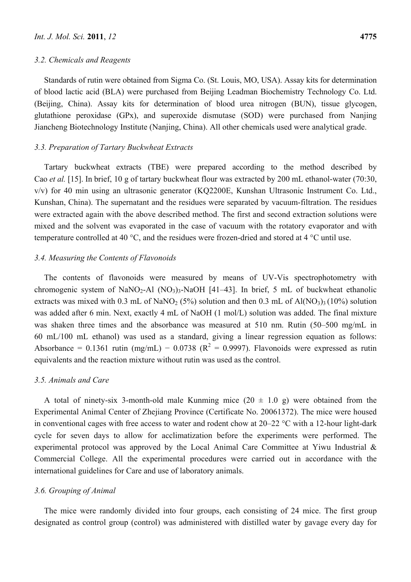#### *3.2. Chemicals and Reagents*

Standards of rutin were obtained from Sigma Co. (St. Louis, MO, USA). Assay kits for determination of blood lactic acid (BLA) were purchased from Beijing Leadman Biochemistry Technology Co. Ltd. (Beijing, China). Assay kits for determination of blood urea nitrogen (BUN), tissue glycogen, glutathione peroxidase (GPx), and superoxide dismutase (SOD) were purchased from Nanjing Jiancheng Biotechnology Institute (Nanjing, China). All other chemicals used were analytical grade.

#### *3.3. Preparation of Tartary Buckwheat Extracts*

Tartary buckwheat extracts (TBE) were prepared according to the method described by Cao *et al.* [15]. In brief, 10 g of tartary buckwheat flour was extracted by 200 mL ethanol-water (70:30, v/v) for 40 min using an ultrasonic generator (KQ2200E, Kunshan Ultrasonic Instrument Co. Ltd., Kunshan, China). The supernatant and the residues were separated by vacuum-filtration. The residues were extracted again with the above described method. The first and second extraction solutions were mixed and the solvent was evaporated in the case of vacuum with the rotatory evaporator and with temperature controlled at 40 °C, and the residues were frozen-dried and stored at 4 °C until use.

#### *3.4. Measuring the Contents of Flavonoids*

The contents of flavonoids were measured by means of UV-Vis spectrophotometry with chromogenic system of NaNO<sub>2</sub>-Al  $(NO<sub>3</sub>)<sub>3</sub>$ -NaOH [41–43]. In brief, 5 mL of buckwheat ethanolic extracts was mixed with 0.3 mL of NaNO<sub>2</sub> (5%) solution and then 0.3 mL of Al(NO<sub>3</sub>)<sub>3</sub> (10%) solution was added after 6 min. Next, exactly 4 mL of NaOH (1 mol/L) solution was added. The final mixture was shaken three times and the absorbance was measured at 510 nm. Rutin (50–500 mg/mL in 60 mL/100 mL ethanol) was used as a standard, giving a linear regression equation as follows: Absorbance = 0.1361 rutin (mg/mL) – 0.0738 ( $R^2$  = 0.9997). Flavonoids were expressed as rutin equivalents and the reaction mixture without rutin was used as the control.

#### *3.5. Animals and Care*

A total of ninety-six 3-month-old male Kunming mice  $(20 \pm 1.0 \text{ g})$  were obtained from the Experimental Animal Center of Zhejiang Province (Certificate No. 20061372). The mice were housed in conventional cages with free access to water and rodent chow at 20–22 °C with a 12-hour light-dark cycle for seven days to allow for acclimatization before the experiments were performed. The experimental protocol was approved by the Local Animal Care Committee at Yiwu Industrial & Commercial College. All the experimental procedures were carried out in accordance with the international guidelines for Care and use of laboratory animals.

#### *3.6. Grouping of Animal*

The mice were randomly divided into four groups, each consisting of 24 mice. The first group designated as control group (control) was administered with distilled water by gavage every day for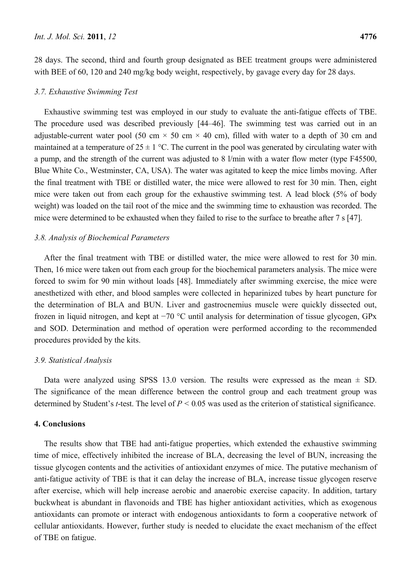28 days. The second, third and fourth group designated as BEE treatment groups were administered with BEE of 60, 120 and 240 mg/kg body weight, respectively, by gavage every day for 28 days.

#### *3.7. Exhaustive Swimming Test*

Exhaustive swimming test was employed in our study to evaluate the anti-fatigue effects of TBE. The procedure used was described previously [44–46]. The swimming test was carried out in an adjustable-current water pool (50 cm  $\times$  50 cm  $\times$  40 cm), filled with water to a depth of 30 cm and maintained at a temperature of  $25 \pm 1$  °C. The current in the pool was generated by circulating water with a pump, and the strength of the current was adjusted to 8 l/min with a water flow meter (type F45500, Blue White Co., Westminster, CA, USA). The water was agitated to keep the mice limbs moving. After the final treatment with TBE or distilled water, the mice were allowed to rest for 30 min. Then, eight mice were taken out from each group for the exhaustive swimming test. A lead block (5% of body weight) was loaded on the tail root of the mice and the swimming time to exhaustion was recorded. The mice were determined to be exhausted when they failed to rise to the surface to breathe after 7 s [47].

#### *3.8. Analysis of Biochemical Parameters*

After the final treatment with TBE or distilled water, the mice were allowed to rest for 30 min. Then, 16 mice were taken out from each group for the biochemical parameters analysis. The mice were forced to swim for 90 min without loads [48]. Immediately after swimming exercise, the mice were anesthetized with ether, and blood samples were collected in heparinized tubes by heart puncture for the determination of BLA and BUN. Liver and gastrocnemius muscle were quickly dissected out, frozen in liquid nitrogen, and kept at −70 °C until analysis for determination of tissue glycogen, GPx and SOD. Determination and method of operation were performed according to the recommended procedures provided by the kits.

#### *3.9. Statistical Analysis*

Data were analyzed using SPSS 13.0 version. The results were expressed as the mean  $\pm$  SD. The significance of the mean difference between the control group and each treatment group was determined by Student's *t*-test. The level of *P <* 0*.*05 was used as the criterion of statistical significance.

#### **4. Conclusions**

The results show that TBE had anti-fatigue properties, which extended the exhaustive swimming time of mice, effectively inhibited the increase of BLA, decreasing the level of BUN, increasing the tissue glycogen contents and the activities of antioxidant enzymes of mice. The putative mechanism of anti-fatigue activity of TBE is that it can delay the increase of BLA, increase tissue glycogen reserve after exercise, which will help increase aerobic and anaerobic exercise capacity. In addition, tartary buckwheat is abundant in flavonoids and TBE has higher antioxidant activities, which as exogenous antioxidants can promote or interact with endogenous antioxidants to form a cooperative network of cellular antioxidants. However, further study is needed to elucidate the exact mechanism of the effect of TBE on fatigue.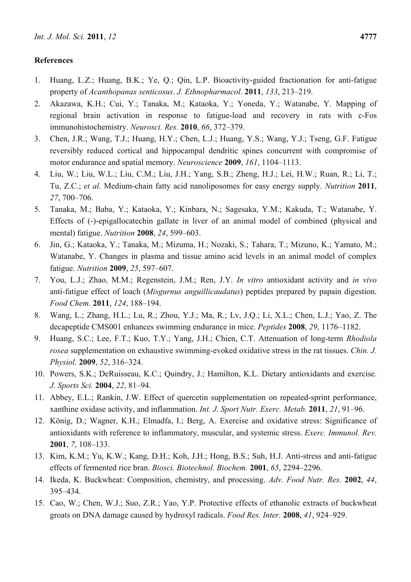# **References**

- 1. Huang, L.Z.; Huang, B.K.; Ye, Q.; Qin, L.P. Bioactivity-guided fractionation for anti-fatigue property of *Acanthopanax senticosus*. *J. Ethnopharmacol.* **2011**, *133*, 213–219.
- 2. Akazawa, K.H.; Cui, Y.; Tanaka, M.; Kataoka, Y.; Yoneda, Y.; Watanabe, Y. Mapping of regional brain activation in response to fatigue-load and recovery in rats with c-Fos immunohistochemistry. *Neurosci. Res.* **2010**, *66*, 372–379.
- 3. Chen, J.R.; Wang, T.J.; Huang, H.Y.; Chen, L.J.; Huang, Y.S.; Wang, Y.J.; Tseng, G.F. Fatigue reversibly reduced cortical and hippocampal dendritic spines concurrent with compromise of motor endurance and spatial memory. *Neuroscience* **2009**, *161*, 1104–1113.
- 4. Liu, W.; Liu, W.L.; Liu, C.M.; Liu, J.H.; Yang, S.B.; Zheng, H.J.; Lei, H.W.; Ruan, R.; Li, T.; Tu, Z.C.; *et al.* Medium-chain fatty acid nanoliposomes for easy energy supply. *Nutrition* **2011**, *27*, 700–706.
- 5. Tanaka, M.; Baba, Y.; Kataoka, Y.; Kinbara, N.; Sagesaka, Y.M.; Kakuda, T.; Watanabe, Y. Effects of (-)-epigallocatechin gallate in liver of an animal model of combined (physical and mental) fatigue. *Nutrition* **2008**, *24*, 599–603.
- 6. Jin, G.; Kataoka, Y.; Tanaka, M.; Mizuma, H.; Nozaki, S.; Tahara, T.; Mizuno, K.; Yamato, M.; Watanabe, Y. Changes in plasma and tissue amino acid levels in an animal model of complex fatigue. *Nutrition* **2009**, *25*, 597–607.
- 7. You, L.J.; Zhao, M.M.; Regenstein, J.M.; Ren, J.Y. *In vitro* antioxidant activity and *in vivo* anti-fatigue effect of loach (*Misgurnus anguillicaudatus*) peptides prepared by papain digestion. *Food Chem.* **2011**, *124*, 188–194.
- 8. Wang, L.; Zhang, H.L.; Lu, R.; Zhou, Y.J.; Ma, R.; Lv, J.Q.; Li, X.L.; Chen, L.J.; Yao, Z. The decapeptide CMS001 enhances swimming endurance in mice. *Peptides* **2008**, *29*, 1176–1182.
- 9. Huang, S.C.; Lee, F.T.; Kuo, T.Y.; Yang, J.H.; Chien, C.T. Attenuation of long-term *Rhodiola rosea* supplementation on exhaustive swimming-evoked oxidative stress in the rat tissues. *Chin. J. Physiol.* **2009**, *52*, 316–324.
- 10. Powers, S.K.; DeRuisseau, K.C.; Quindry, J.; Hamilton, K.L. Dietary antioxidants and exercise. *J. Sports Sci.* **2004**, *22*, 81–94.
- 11. Abbey, E.L.; Rankin, J.W. Effect of quercetin supplementation on repeated-sprint performance, xanthine oxidase activity, and inflammation. *Int. J. Sport Nutr. Exerc. Metab.* **2011**, *21*, 91–96.
- 12. König, D.; Wagner, K.H.; Elmadfa, I.; Berg, A. Exercise and oxidative stress: Significance of antioxidants with reference to inflammatory, muscular, and systemic stress. *Exerc. Immunol. Rev.*  **2001**, *7*, 108–133.
- 13. Kim, K.M.; Yu, K.W.; Kang, D.H.; Koh, J.H.; Hong, B.S.; Suh, H.J. Anti-stress and anti-fatigue effects of fermented rice bran. *Biosci. Biotechnol. Biochem.* **2001**, *65*, 2294–2296.
- 14. Ikeda, K. Buckwheat: Composition, chemistry, and processing. *Adv. Food Nutr. Res.* **2002**, *44*, 395–434.
- 15. Cao, W.; Chen, W.J.; Suo, Z.R.; Yao, Y.P. Protective effects of ethanolic extracts of buckwheat groats on DNA damage caused by hydroxyl radicals. *Food Res. Inter.* **2008**, *41*, 924–929.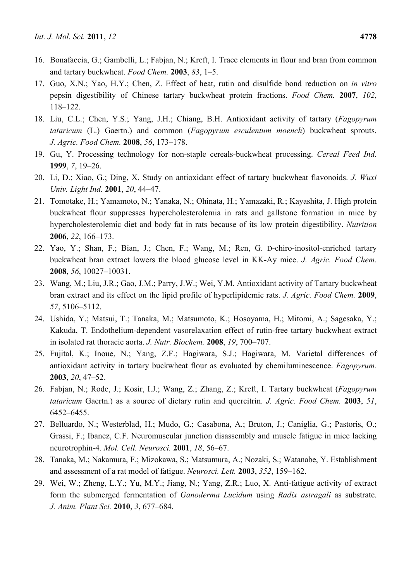- 16. Bonafaccia, G.; Gambelli, L.; Fabjan, N.; Kreft, I. Trace elements in flour and bran from common and tartary buckwheat. *Food Chem.* **2003**, *83*, 1–5.
- 17. Guo, X.N.; Yao, H.Y.; Chen, Z. Effect of heat, rutin and disulfide bond reduction on *in vitro* pepsin digestibility of Chinese tartary buckwheat protein fractions. *Food Chem.* **2007**, *102*, 118–122.
- 18. Liu, C.L.; Chen, Y.S.; Yang, J.H.; Chiang, B.H. Antioxidant activity of tartary (*Fagopyrum tataricum* (L.) Gaertn.) and common (*Fagopyrum esculentum moench*) buckwheat sprouts. *J. Agric. Food Chem.* **2008**, *56*, 173–178.
- 19. Gu, Y. Processing technology for non-staple cereals-buckwheat processing. *Cereal Feed Ind.*  **1999**, *7*, 19–26.
- 20. Li, D.; Xiao, G.; Ding, X. Study on antioxidant effect of tartary buckwheat flavonoids. *J. Wuxi Univ. Light Ind.* **2001**, *20*, 44–47.
- 21. Tomotake, H.; Yamamoto, N.; Yanaka, N.; Ohinata, H.; Yamazaki, R.; Kayashita, J. High protein buckwheat flour suppresses hypercholesterolemia in rats and gallstone formation in mice by hypercholesterolemic diet and body fat in rats because of its low protein digestibility. *Nutrition*  **2006**, *22*, 166–173.
- 22. Yao, Y.; Shan, F.; Bian, J.; Chen, F.; Wang, M.; Ren, G. D-chiro-inositol-enriched tartary buckwheat bran extract lowers the blood glucose level in KK-Ay mice. *J. Agric. Food Chem.*  **2008**, *56*, 10027–10031.
- 23. Wang, M.; Liu, J.R.; Gao, J.M.; Parry, J.W.; Wei, Y.M. Antioxidant activity of Tartary buckwheat bran extract and its effect on the lipid profile of hyperlipidemic rats. *J. Agric. Food Chem.* **2009**, *57*, 5106–5112.
- 24. Ushida, Y.; Matsui, T.; Tanaka, M.; Matsumoto, K.; Hosoyama, H.; Mitomi, A.; Sagesaka, Y.; Kakuda, T. Endothelium-dependent vasorelaxation effect of rutin-free tartary buckwheat extract in isolated rat thoracic aorta. *J. Nutr. Biochem.* **2008**, *19*, 700–707.
- 25. Fujital, K.; Inoue, N.; Yang, Z.F.; Hagiwara, S.J.; Hagiwara, M. Varietal differences of antioxidant activity in tartary buckwheat flour as evaluated by chemiluminescence. *Fagopyrum.*  **2003**, *20*, 47–52.
- 26. Fabjan, N.; Rode, J.; Kosir, I.J.; Wang, Z.; Zhang, Z.; Kreft, I. Tartary buckwheat (*Fagopyrum tataricum* Gaertn.) as a source of dietary rutin and quercitrin. *J. Agric. Food Chem.* **2003**, *51*, 6452–6455.
- 27. Belluardo, N.; Westerblad, H.; Mudo, G.; Casabona, A.; Bruton, J.; Caniglia, G.; Pastoris, O.; Grassi, F.; Ibanez, C.F. Neuromuscular junction disassembly and muscle fatigue in mice lacking neurotrophin-4. *Mol. Cell. Neurosci.* **2001**, *18*, 56–67.
- 28. Tanaka, M.; Nakamura, F.; Mizokawa, S.; Matsumura, A.; Nozaki, S.; Watanabe, Y. Establishment and assessment of a rat model of fatigue. *Neurosci. Lett.* **2003**, *352*, 159–162.
- 29. Wei, W.; Zheng, L.Y.; Yu, M.Y.; Jiang, N.; Yang, Z.R.; Luo, X. Anti-fatigue activity of extract form the submerged fermentation of *Ganoderma Lucidum* using *Radix astragali* as substrate. *J. Anim. Plant Sci.* **2010**, *3*, 677–684.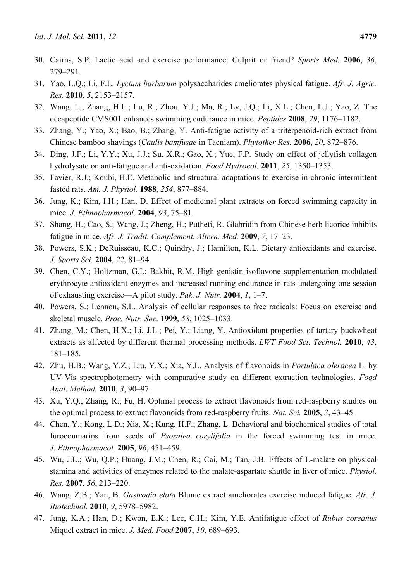- 30. Cairns, S.P. Lactic acid and exercise performance: Culprit or friend? *Sports Med.* **2006**, *36*, 279–291.
- 31. Yao, L.Q.; Li, F.L. *Lycium barbarum* polysaccharides ameliorates physical fatigue. *Afr. J. Agric. Res.* **2010**, *5*, 2153–2157.
- 32. Wang, L.; Zhang, H.L.; Lu, R.; Zhou, Y.J.; Ma, R.; Lv, J.Q.; Li, X.L.; Chen, L.J.; Yao, Z. The decapeptide CMS001 enhances swimming endurance in mice. *Peptides* **2008**, *29*, 1176–1182.
- 33. Zhang, Y.; Yao, X.; Bao, B.; Zhang, Y. Anti-fatigue activity of a triterpenoid-rich extract from Chinese bamboo shavings (*Caulis bamfusae* in Taeniam). *Phytother Res.* **2006**, *20*, 872–876.
- 34. Ding, J.F.; Li, Y.Y.; Xu, J.J.; Su, X.R.; Gao, X.; Yue, F.P. Study on effect of jellyfish collagen hydrolysate on anti-fatigue and anti-oxidation. *Food Hydrocol.* **2011**, *25*, 1350–1353.
- 35. Favier, R.J.; Koubi, H.E. Metabolic and structural adaptations to exercise in chronic intermittent fasted rats. *Am. J. Physiol.* **1988**, *254*, 877–884.
- 36. Jung, K.; Kim, I.H.; Han, D. Effect of medicinal plant extracts on forced swimming capacity in mice. *J. Ethnopharmacol.* **2004**, *93*, 75–81.
- 37. Shang, H.; Cao, S.; Wang, J.; Zheng, H.; Putheti, R. Glabridin from Chinese herb licorice inhibits fatigue in mice. *Afr. J. Tradit. Complement. Altern. Med.* **2009**, *7*, 17–23.
- 38. Powers, S.K.; DeRuisseau, K.C.; Quindry, J.; Hamilton, K.L. Dietary antioxidants and exercise. *J. Sports Sci.* **2004**, *22*, 81–94.
- 39. Chen, C.Y.; Holtzman, G.I.; Bakhit, R.M. High-genistin isoflavone supplementation modulated erythrocyte antioxidant enzymes and increased running endurance in rats undergoing one session of exhausting exercise—A pilot study. *Pak. J. Nutr.* **2004**, *1*, 1–7.
- 40. Powers, S.; Lennon, S.L. Analysis of cellular responses to free radicals: Focus on exercise and skeletal muscle. *Proc. Nutr. Soc.* **1999**, *58*, 1025–1033.
- 41. Zhang, M.; Chen, H.X.; Li, J.L.; Pei, Y.; Liang, Y. Antioxidant properties of tartary buckwheat extracts as affected by different thermal processing methods. *LWT Food Sci. Technol.* **2010**, *43*, 181–185.
- 42. Zhu, H.B.; Wang, Y.Z.; Liu, Y.X.; Xia, Y.L. Analysis of flavonoids in *Portulaca oleracea* L. by UV-Vis spectrophotometry with comparative study on different extraction technologies. *Food Anal. Method.* **2010**, *3*, 90–97.
- 43. Xu, Y.Q.; Zhang, R.; Fu, H. Optimal process to extract flavonoids from red-raspberry studies on the optimal process to extract flavonoids from red-raspberry fruits. *Nat. Sci.* **2005**, *3*, 43–45.
- 44. Chen, Y.; Kong, L.D.; Xia, X.; Kung, H.F.; Zhang, L. Behavioral and biochemical studies of total furocoumarins from seeds of *Psoralea corylifolia* in the forced swimming test in mice. *J. Ethnopharmacol.* **2005**, *96*, 451–459.
- 45. Wu, J.L.; Wu, Q.P.; Huang, J.M.; Chen, R.; Cai, M.; Tan, J.B. Effects of L-malate on physical stamina and activities of enzymes related to the malate-aspartate shuttle in liver of mice. *Physiol. Res.* **2007**, *56*, 213–220.
- 46. Wang, Z.B.; Yan, B. *Gastrodia elata* Blume extract ameliorates exercise induced fatigue. *Afr. J. Biotechnol.* **2010**, *9*, 5978–5982.
- 47. Jung, K.A.; Han, D.; Kwon, E.K.; Lee, C.H.; Kim, Y.E. Antifatigue effect of *Rubus coreanus* Miquel extract in mice. *J. Med. Food* **2007**, *10*, 689–693.